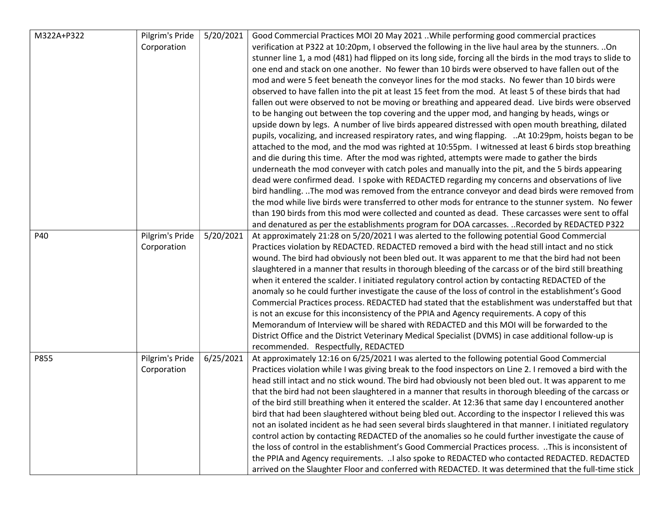| M322A+P322 | Pilgrim's Pride | 5/20/2021 | Good Commercial Practices MOI 20 May 2021 While performing good commercial practices                         |
|------------|-----------------|-----------|--------------------------------------------------------------------------------------------------------------|
|            | Corporation     |           | verification at P322 at 10:20pm, I observed the following in the live haul area by the stunners.  On         |
|            |                 |           | stunner line 1, a mod (481) had flipped on its long side, forcing all the birds in the mod trays to slide to |
|            |                 |           | one end and stack on one another. No fewer than 10 birds were observed to have fallen out of the             |
|            |                 |           | mod and were 5 feet beneath the conveyor lines for the mod stacks. No fewer than 10 birds were               |
|            |                 |           | observed to have fallen into the pit at least 15 feet from the mod. At least 5 of these birds that had       |
|            |                 |           | fallen out were observed to not be moving or breathing and appeared dead. Live birds were observed           |
|            |                 |           | to be hanging out between the top covering and the upper mod, and hanging by heads, wings or                 |
|            |                 |           | upside down by legs. A number of live birds appeared distressed with open mouth breathing, dilated           |
|            |                 |           | pupils, vocalizing, and increased respiratory rates, and wing flapping.  At 10:29pm, hoists began to be      |
|            |                 |           | attached to the mod, and the mod was righted at 10:55pm. I witnessed at least 6 birds stop breathing         |
|            |                 |           | and die during this time. After the mod was righted, attempts were made to gather the birds                  |
|            |                 |           | underneath the mod conveyer with catch poles and manually into the pit, and the 5 birds appearing            |
|            |                 |           | dead were confirmed dead. I spoke with REDACTED regarding my concerns and observations of live               |
|            |                 |           | bird handling. The mod was removed from the entrance conveyor and dead birds were removed from               |
|            |                 |           | the mod while live birds were transferred to other mods for entrance to the stunner system. No fewer         |
|            |                 |           | than 190 birds from this mod were collected and counted as dead. These carcasses were sent to offal          |
|            |                 |           | and denatured as per the establishments program for DOA carcasses. Recorded by REDACTED P322                 |
| P40        | Pilgrim's Pride | 5/20/2021 | At approximately 21:28 on 5/20/2021 I was alerted to the following potential Good Commercial                 |
|            | Corporation     |           | Practices violation by REDACTED. REDACTED removed a bird with the head still intact and no stick             |
|            |                 |           | wound. The bird had obviously not been bled out. It was apparent to me that the bird had not been            |
|            |                 |           | slaughtered in a manner that results in thorough bleeding of the carcass or of the bird still breathing      |
|            |                 |           | when it entered the scalder. I initiated regulatory control action by contacting REDACTED of the             |
|            |                 |           | anomaly so he could further investigate the cause of the loss of control in the establishment's Good         |
|            |                 |           | Commercial Practices process. REDACTED had stated that the establishment was understaffed but that           |
|            |                 |           | is not an excuse for this inconsistency of the PPIA and Agency requirements. A copy of this                  |
|            |                 |           | Memorandum of Interview will be shared with REDACTED and this MOI will be forwarded to the                   |
|            |                 |           | District Office and the District Veterinary Medical Specialist (DVMS) in case additional follow-up is        |
|            |                 |           | recommended. Respectfully, REDACTED                                                                          |
| P855       | Pilgrim's Pride | 6/25/2021 | At approximately 12:16 on 6/25/2021 I was alerted to the following potential Good Commercial                 |
|            | Corporation     |           | Practices violation while I was giving break to the food inspectors on Line 2. I removed a bird with the     |
|            |                 |           | head still intact and no stick wound. The bird had obviously not been bled out. It was apparent to me        |
|            |                 |           | that the bird had not been slaughtered in a manner that results in thorough bleeding of the carcass or       |
|            |                 |           | of the bird still breathing when it entered the scalder. At 12:36 that same day I encountered another        |
|            |                 |           | bird that had been slaughtered without being bled out. According to the inspector I relieved this was        |
|            |                 |           | not an isolated incident as he had seen several birds slaughtered in that manner. I initiated regulatory     |
|            |                 |           | control action by contacting REDACTED of the anomalies so he could further investigate the cause of          |
|            |                 |           | the loss of control in the establishment's Good Commercial Practices process. This is inconsistent of        |
|            |                 |           | the PPIA and Agency requirements.  I also spoke to REDACTED who contacted REDACTED. REDACTED                 |
|            |                 |           | arrived on the Slaughter Floor and conferred with REDACTED. It was determined that the full-time stick       |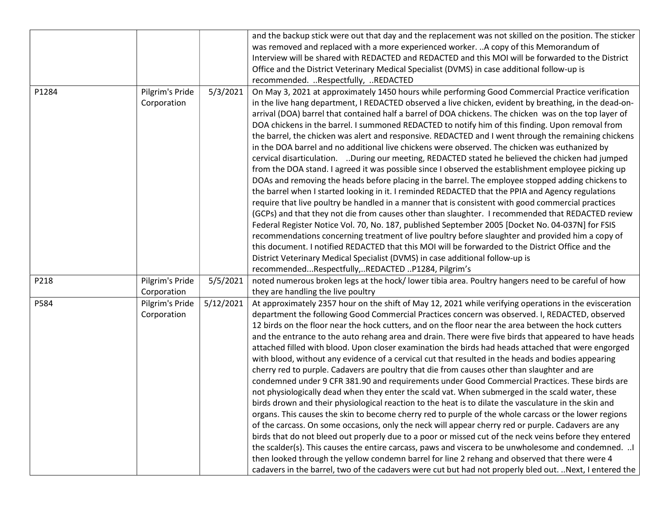|       |                 |           | and the backup stick were out that day and the replacement was not skilled on the position. The sticker                                                                                                       |
|-------|-----------------|-----------|---------------------------------------------------------------------------------------------------------------------------------------------------------------------------------------------------------------|
|       |                 |           | was removed and replaced with a more experienced worker.  A copy of this Memorandum of                                                                                                                        |
|       |                 |           | Interview will be shared with REDACTED and REDACTED and this MOI will be forwarded to the District                                                                                                            |
|       |                 |           | Office and the District Veterinary Medical Specialist (DVMS) in case additional follow-up is                                                                                                                  |
|       |                 |           | recommended. Respectfully, REDACTED                                                                                                                                                                           |
| P1284 | Pilgrim's Pride | 5/3/2021  | On May 3, 2021 at approximately 1450 hours while performing Good Commercial Practice verification                                                                                                             |
|       | Corporation     |           | in the live hang department, I REDACTED observed a live chicken, evident by breathing, in the dead-on-                                                                                                        |
|       |                 |           | arrival (DOA) barrel that contained half a barrel of DOA chickens. The chicken was on the top layer of                                                                                                        |
|       |                 |           | DOA chickens in the barrel. I summoned REDACTED to notify him of this finding. Upon removal from                                                                                                              |
|       |                 |           | the barrel, the chicken was alert and responsive. REDACTED and I went through the remaining chickens                                                                                                          |
|       |                 |           | in the DOA barrel and no additional live chickens were observed. The chicken was euthanized by                                                                                                                |
|       |                 |           | cervical disarticulation. During our meeting, REDACTED stated he believed the chicken had jumped                                                                                                              |
|       |                 |           | from the DOA stand. I agreed it was possible since I observed the establishment employee picking up                                                                                                           |
|       |                 |           | DOAs and removing the heads before placing in the barrel. The employee stopped adding chickens to                                                                                                             |
|       |                 |           | the barrel when I started looking in it. I reminded REDACTED that the PPIA and Agency regulations                                                                                                             |
|       |                 |           | require that live poultry be handled in a manner that is consistent with good commercial practices                                                                                                            |
|       |                 |           | (GCPs) and that they not die from causes other than slaughter. I recommended that REDACTED review                                                                                                             |
|       |                 |           | Federal Register Notice Vol. 70, No. 187, published September 2005 [Docket No. 04-037N] for FSIS                                                                                                              |
|       |                 |           | recommendations concerning treatment of live poultry before slaughter and provided him a copy of                                                                                                              |
|       |                 |           | this document. I notified REDACTED that this MOI will be forwarded to the District Office and the                                                                                                             |
|       |                 |           | District Veterinary Medical Specialist (DVMS) in case additional follow-up is                                                                                                                                 |
|       |                 |           | recommendedRespectfully,REDACTED P1284, Pilgrim's                                                                                                                                                             |
| P218  | Pilgrim's Pride | 5/5/2021  | noted numerous broken legs at the hock/lower tibia area. Poultry hangers need to be careful of how                                                                                                            |
|       | Corporation     |           | they are handling the live poultry                                                                                                                                                                            |
| P584  | Pilgrim's Pride | 5/12/2021 | At approximately 2357 hour on the shift of May 12, 2021 while verifying operations in the evisceration                                                                                                        |
|       | Corporation     |           | department the following Good Commercial Practices concern was observed. I, REDACTED, observed                                                                                                                |
|       |                 |           | 12 birds on the floor near the hock cutters, and on the floor near the area between the hock cutters                                                                                                          |
|       |                 |           | and the entrance to the auto rehang area and drain. There were five birds that appeared to have heads                                                                                                         |
|       |                 |           | attached filled with blood. Upon closer examination the birds had heads attached that were engorged                                                                                                           |
|       |                 |           | with blood, without any evidence of a cervical cut that resulted in the heads and bodies appearing                                                                                                            |
|       |                 |           | cherry red to purple. Cadavers are poultry that die from causes other than slaughter and are                                                                                                                  |
|       |                 |           | condemned under 9 CFR 381.90 and requirements under Good Commercial Practices. These birds are                                                                                                                |
|       |                 |           | not physiologically dead when they enter the scald vat. When submerged in the scald water, these                                                                                                              |
|       |                 |           | birds drown and their physiological reaction to the heat is to dilate the vasculature in the skin and                                                                                                         |
|       |                 |           | organs. This causes the skin to become cherry red to purple of the whole carcass or the lower regions                                                                                                         |
|       |                 |           | of the carcass. On some occasions, only the neck will appear cherry red or purple. Cadavers are any<br>birds that do not bleed out properly due to a poor or missed cut of the neck veins before they entered |
|       |                 |           | the scalder(s). This causes the entire carcass, paws and viscera to be unwholesome and condemned.                                                                                                             |
|       |                 |           |                                                                                                                                                                                                               |
|       |                 |           | then looked through the yellow condemn barrel for line 2 rehang and observed that there were 4                                                                                                                |
|       |                 |           | cadavers in the barrel, two of the cadavers were cut but had not properly bled out.  Next, I entered the                                                                                                      |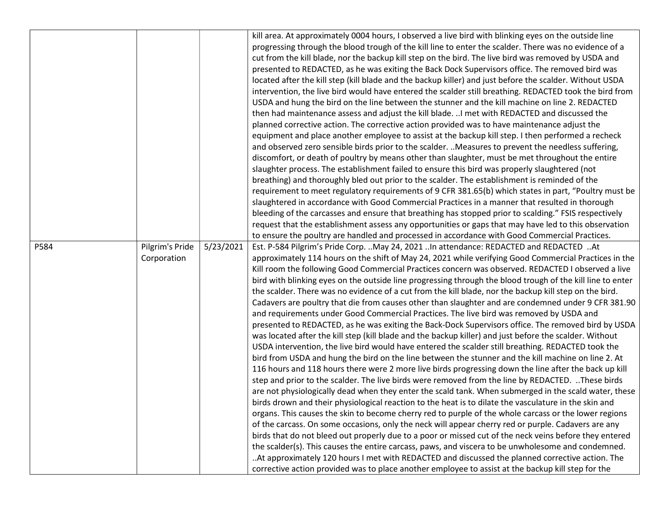|      |                 |           | kill area. At approximately 0004 hours, I observed a live bird with blinking eyes on the outside line<br>progressing through the blood trough of the kill line to enter the scalder. There was no evidence of a<br>cut from the kill blade, nor the backup kill step on the bird. The live bird was removed by USDA and<br>presented to REDACTED, as he was exiting the Back Dock Supervisors office. The removed bird was<br>located after the kill step (kill blade and the backup killer) and just before the scalder. Without USDA |
|------|-----------------|-----------|----------------------------------------------------------------------------------------------------------------------------------------------------------------------------------------------------------------------------------------------------------------------------------------------------------------------------------------------------------------------------------------------------------------------------------------------------------------------------------------------------------------------------------------|
|      |                 |           | intervention, the live bird would have entered the scalder still breathing. REDACTED took the bird from<br>USDA and hung the bird on the line between the stunner and the kill machine on line 2. REDACTED                                                                                                                                                                                                                                                                                                                             |
|      |                 |           | then had maintenance assess and adjust the kill blade.  I met with REDACTED and discussed the                                                                                                                                                                                                                                                                                                                                                                                                                                          |
|      |                 |           | planned corrective action. The corrective action provided was to have maintenance adjust the                                                                                                                                                                                                                                                                                                                                                                                                                                           |
|      |                 |           | equipment and place another employee to assist at the backup kill step. I then performed a recheck                                                                                                                                                                                                                                                                                                                                                                                                                                     |
|      |                 |           | and observed zero sensible birds prior to the scalder.  Measures to prevent the needless suffering,                                                                                                                                                                                                                                                                                                                                                                                                                                    |
|      |                 |           | discomfort, or death of poultry by means other than slaughter, must be met throughout the entire                                                                                                                                                                                                                                                                                                                                                                                                                                       |
|      |                 |           | slaughter process. The establishment failed to ensure this bird was properly slaughtered (not                                                                                                                                                                                                                                                                                                                                                                                                                                          |
|      |                 |           | breathing) and thoroughly bled out prior to the scalder. The establishment is reminded of the                                                                                                                                                                                                                                                                                                                                                                                                                                          |
|      |                 |           | requirement to meet regulatory requirements of 9 CFR 381.65(b) which states in part, "Poultry must be                                                                                                                                                                                                                                                                                                                                                                                                                                  |
|      |                 |           | slaughtered in accordance with Good Commercial Practices in a manner that resulted in thorough                                                                                                                                                                                                                                                                                                                                                                                                                                         |
|      |                 |           | bleeding of the carcasses and ensure that breathing has stopped prior to scalding." FSIS respectively                                                                                                                                                                                                                                                                                                                                                                                                                                  |
|      |                 |           | request that the establishment assess any opportunities or gaps that may have led to this observation                                                                                                                                                                                                                                                                                                                                                                                                                                  |
|      |                 |           | to ensure the poultry are handled and processed in accordance with Good Commercial Practices.                                                                                                                                                                                                                                                                                                                                                                                                                                          |
| P584 | Pilgrim's Pride | 5/23/2021 | Est. P-584 Pilgrim's Pride Corp.  May 24, 2021  In attendance: REDACTED and REDACTED  At                                                                                                                                                                                                                                                                                                                                                                                                                                               |
|      | Corporation     |           | approximately 114 hours on the shift of May 24, 2021 while verifying Good Commercial Practices in the                                                                                                                                                                                                                                                                                                                                                                                                                                  |
|      |                 |           | Kill room the following Good Commercial Practices concern was observed. REDACTED I observed a live                                                                                                                                                                                                                                                                                                                                                                                                                                     |
|      |                 |           | bird with blinking eyes on the outside line progressing through the blood trough of the kill line to enter                                                                                                                                                                                                                                                                                                                                                                                                                             |
|      |                 |           | the scalder. There was no evidence of a cut from the kill blade, nor the backup kill step on the bird.                                                                                                                                                                                                                                                                                                                                                                                                                                 |
|      |                 |           | Cadavers are poultry that die from causes other than slaughter and are condemned under 9 CFR 381.90                                                                                                                                                                                                                                                                                                                                                                                                                                    |
|      |                 |           | and requirements under Good Commercial Practices. The live bird was removed by USDA and                                                                                                                                                                                                                                                                                                                                                                                                                                                |
|      |                 |           | presented to REDACTED, as he was exiting the Back-Dock Supervisors office. The removed bird by USDA                                                                                                                                                                                                                                                                                                                                                                                                                                    |
|      |                 |           | was located after the kill step (kill blade and the backup killer) and just before the scalder. Without                                                                                                                                                                                                                                                                                                                                                                                                                                |
|      |                 |           | USDA intervention, the live bird would have entered the scalder still breathing. REDACTED took the                                                                                                                                                                                                                                                                                                                                                                                                                                     |
|      |                 |           | bird from USDA and hung the bird on the line between the stunner and the kill machine on line 2. At                                                                                                                                                                                                                                                                                                                                                                                                                                    |
|      |                 |           | 116 hours and 118 hours there were 2 more live birds progressing down the line after the back up kill<br>step and prior to the scalder. The live birds were removed from the line by REDACTED. These birds                                                                                                                                                                                                                                                                                                                             |
|      |                 |           | are not physiologically dead when they enter the scald tank. When submerged in the scald water, these                                                                                                                                                                                                                                                                                                                                                                                                                                  |
|      |                 |           | birds drown and their physiological reaction to the heat is to dilate the vasculature in the skin and                                                                                                                                                                                                                                                                                                                                                                                                                                  |
|      |                 |           | organs. This causes the skin to become cherry red to purple of the whole carcass or the lower regions                                                                                                                                                                                                                                                                                                                                                                                                                                  |
|      |                 |           | of the carcass. On some occasions, only the neck will appear cherry red or purple. Cadavers are any                                                                                                                                                                                                                                                                                                                                                                                                                                    |
|      |                 |           | birds that do not bleed out properly due to a poor or missed cut of the neck veins before they entered                                                                                                                                                                                                                                                                                                                                                                                                                                 |
|      |                 |           | the scalder(s). This causes the entire carcass, paws, and viscera to be unwholesome and condemned.                                                                                                                                                                                                                                                                                                                                                                                                                                     |
|      |                 |           | At approximately 120 hours I met with REDACTED and discussed the planned corrective action. The                                                                                                                                                                                                                                                                                                                                                                                                                                        |
|      |                 |           |                                                                                                                                                                                                                                                                                                                                                                                                                                                                                                                                        |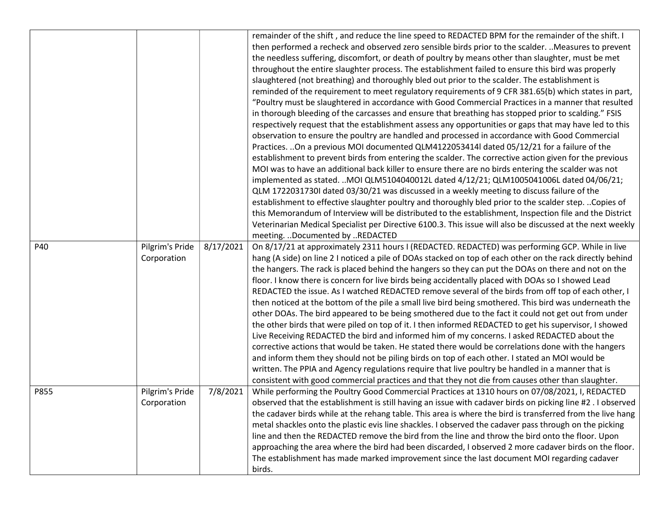| P40  | Pilgrim's Pride                | 8/17/2021 | remainder of the shift, and reduce the line speed to REDACTED BPM for the remainder of the shift. I<br>then performed a recheck and observed zero sensible birds prior to the scalder.  Measures to prevent<br>the needless suffering, discomfort, or death of poultry by means other than slaughter, must be met<br>throughout the entire slaughter process. The establishment failed to ensure this bird was properly<br>slaughtered (not breathing) and thoroughly bled out prior to the scalder. The establishment is<br>reminded of the requirement to meet regulatory requirements of 9 CFR 381.65(b) which states in part,<br>"Poultry must be slaughtered in accordance with Good Commercial Practices in a manner that resulted<br>in thorough bleeding of the carcasses and ensure that breathing has stopped prior to scalding." FSIS<br>respectively request that the establishment assess any opportunities or gaps that may have led to this<br>observation to ensure the poultry are handled and processed in accordance with Good Commercial<br>Practices. On a previous MOI documented QLM4122053414I dated 05/12/21 for a failure of the<br>establishment to prevent birds from entering the scalder. The corrective action given for the previous<br>MOI was to have an additional back killer to ensure there are no birds entering the scalder was not<br>implemented as stated. MOI QLM5104040012L dated 4/12/21; QLM1005041006L dated 04/06/21;<br>QLM 1722031730I dated 03/30/21 was discussed in a weekly meeting to discuss failure of the<br>establishment to effective slaughter poultry and thoroughly bled prior to the scalder step.  Copies of<br>this Memorandum of Interview will be distributed to the establishment, Inspection file and the District<br>Veterinarian Medical Specialist per Directive 6100.3. This issue will also be discussed at the next weekly<br>meeting.  Documented by  REDACTED<br>On 8/17/21 at approximately 2311 hours I (REDACTED. REDACTED) was performing GCP. While in live |
|------|--------------------------------|-----------|-------------------------------------------------------------------------------------------------------------------------------------------------------------------------------------------------------------------------------------------------------------------------------------------------------------------------------------------------------------------------------------------------------------------------------------------------------------------------------------------------------------------------------------------------------------------------------------------------------------------------------------------------------------------------------------------------------------------------------------------------------------------------------------------------------------------------------------------------------------------------------------------------------------------------------------------------------------------------------------------------------------------------------------------------------------------------------------------------------------------------------------------------------------------------------------------------------------------------------------------------------------------------------------------------------------------------------------------------------------------------------------------------------------------------------------------------------------------------------------------------------------------------------------------------------------------------------------------------------------------------------------------------------------------------------------------------------------------------------------------------------------------------------------------------------------------------------------------------------------------------------------------------------------------------------------------------------------------------------------------------------------------------------------------------|
|      | Corporation                    |           | hang (A side) on line 2 I noticed a pile of DOAs stacked on top of each other on the rack directly behind<br>the hangers. The rack is placed behind the hangers so they can put the DOAs on there and not on the<br>floor. I know there is concern for live birds being accidentally placed with DOAs so I showed Lead<br>REDACTED the issue. As I watched REDACTED remove several of the birds from off top of each other, I<br>then noticed at the bottom of the pile a small live bird being smothered. This bird was underneath the<br>other DOAs. The bird appeared to be being smothered due to the fact it could not get out from under<br>the other birds that were piled on top of it. I then informed REDACTED to get his supervisor, I showed<br>Live Receiving REDACTED the bird and informed him of my concerns. I asked REDACTED about the<br>corrective actions that would be taken. He stated there would be correlations done with the hangers<br>and inform them they should not be piling birds on top of each other. I stated an MOI would be<br>written. The PPIA and Agency regulations require that live poultry be handled in a manner that is<br>consistent with good commercial practices and that they not die from causes other than slaughter.                                                                                                                                                                                                                                                                                                                                                                                                                                                                                                                                                                                                                                                                                                                                                                     |
| P855 | Pilgrim's Pride<br>Corporation | 7/8/2021  | While performing the Poultry Good Commercial Practices at 1310 hours on 07/08/2021, I, REDACTED<br>observed that the establishment is still having an issue with cadaver birds on picking line #2.1 observed<br>the cadaver birds while at the rehang table. This area is where the bird is transferred from the live hang<br>metal shackles onto the plastic evis line shackles. I observed the cadaver pass through on the picking<br>line and then the REDACTED remove the bird from the line and throw the bird onto the floor. Upon<br>approaching the area where the bird had been discarded, I observed 2 more cadaver birds on the floor.<br>The establishment has made marked improvement since the last document MOI regarding cadaver<br>birds.                                                                                                                                                                                                                                                                                                                                                                                                                                                                                                                                                                                                                                                                                                                                                                                                                                                                                                                                                                                                                                                                                                                                                                                                                                                                                      |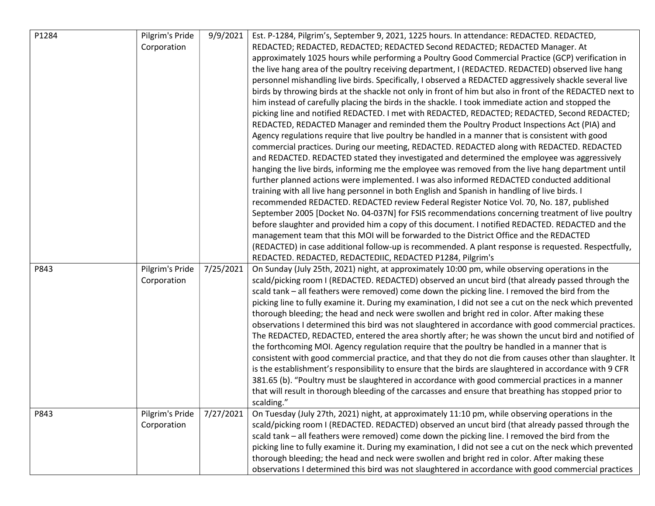| P1284 | Pilgrim's Pride | 9/9/2021  | Est. P-1284, Pilgrim's, September 9, 2021, 1225 hours. In attendance: REDACTED. REDACTED,                 |
|-------|-----------------|-----------|-----------------------------------------------------------------------------------------------------------|
|       | Corporation     |           | REDACTED; REDACTED, REDACTED; REDACTED Second REDACTED; REDACTED Manager. At                              |
|       |                 |           | approximately 1025 hours while performing a Poultry Good Commercial Practice (GCP) verification in        |
|       |                 |           | the live hang area of the poultry receiving department, I (REDACTED. REDACTED) observed live hang         |
|       |                 |           | personnel mishandling live birds. Specifically, I observed a REDACTED aggressively shackle several live   |
|       |                 |           | birds by throwing birds at the shackle not only in front of him but also in front of the REDACTED next to |
|       |                 |           | him instead of carefully placing the birds in the shackle. I took immediate action and stopped the        |
|       |                 |           | picking line and notified REDACTED. I met with REDACTED, REDACTED; REDACTED, Second REDACTED;             |
|       |                 |           | REDACTED, REDACTED Manager and reminded them the Poultry Product Inspections Act (PIA) and                |
|       |                 |           | Agency regulations require that live poultry be handled in a manner that is consistent with good          |
|       |                 |           | commercial practices. During our meeting, REDACTED. REDACTED along with REDACTED. REDACTED                |
|       |                 |           | and REDACTED. REDACTED stated they investigated and determined the employee was aggressively              |
|       |                 |           | hanging the live birds, informing me the employee was removed from the live hang department until         |
|       |                 |           | further planned actions were implemented. I was also informed REDACTED conducted additional               |
|       |                 |           | training with all live hang personnel in both English and Spanish in handling of live birds. I            |
|       |                 |           | recommended REDACTED. REDACTED review Federal Register Notice Vol. 70, No. 187, published                 |
|       |                 |           | September 2005 [Docket No. 04-037N] for FSIS recommendations concerning treatment of live poultry         |
|       |                 |           | before slaughter and provided him a copy of this document. I notified REDACTED. REDACTED and the          |
|       |                 |           | management team that this MOI will be forwarded to the District Office and the REDACTED                   |
|       |                 |           | (REDACTED) in case additional follow-up is recommended. A plant response is requested. Respectfully,      |
|       |                 |           | REDACTED. REDACTED, REDACTEDIIC, REDACTED P1284, Pilgrim's                                                |
| P843  | Pilgrim's Pride | 7/25/2021 | On Sunday (July 25th, 2021) night, at approximately 10:00 pm, while observing operations in the           |
|       | Corporation     |           | scald/picking room I (REDACTED. REDACTED) observed an uncut bird (that already passed through the         |
|       |                 |           | scald tank - all feathers were removed) come down the picking line. I removed the bird from the           |
|       |                 |           | picking line to fully examine it. During my examination, I did not see a cut on the neck which prevented  |
|       |                 |           | thorough bleeding; the head and neck were swollen and bright red in color. After making these             |
|       |                 |           | observations I determined this bird was not slaughtered in accordance with good commercial practices.     |
|       |                 |           | The REDACTED, REDACTED, entered the area shortly after; he was shown the uncut bird and notified of       |
|       |                 |           | the forthcoming MOI. Agency regulation require that the poultry be handled in a manner that is            |
|       |                 |           | consistent with good commercial practice, and that they do not die from causes other than slaughter. It   |
|       |                 |           | is the establishment's responsibility to ensure that the birds are slaughtered in accordance with 9 CFR   |
|       |                 |           | 381.65 (b). "Poultry must be slaughtered in accordance with good commercial practices in a manner         |
|       |                 |           | that will result in thorough bleeding of the carcasses and ensure that breathing has stopped prior to     |
|       |                 |           | scalding."                                                                                                |
| P843  | Pilgrim's Pride | 7/27/2021 | On Tuesday (July 27th, 2021) night, at approximately 11:10 pm, while observing operations in the          |
|       | Corporation     |           | scald/picking room I (REDACTED. REDACTED) observed an uncut bird (that already passed through the         |
|       |                 |           | scald tank - all feathers were removed) come down the picking line. I removed the bird from the           |
|       |                 |           | picking line to fully examine it. During my examination, I did not see a cut on the neck which prevented  |
|       |                 |           | thorough bleeding; the head and neck were swollen and bright red in color. After making these             |
|       |                 |           | observations I determined this bird was not slaughtered in accordance with good commercial practices      |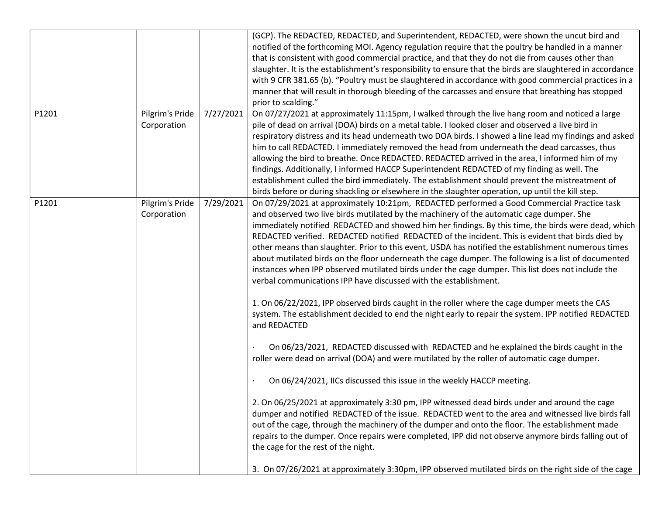|       |                 |           | (GCP). The REDACTED, REDACTED, and Superintendent, REDACTED, were shown the uncut bird and<br>notified of the forthcoming MOI. Agency regulation require that the poultry be handled in a manner |
|-------|-----------------|-----------|--------------------------------------------------------------------------------------------------------------------------------------------------------------------------------------------------|
|       |                 |           | that is consistent with good commercial practice, and that they do not die from causes other than                                                                                                |
|       |                 |           | slaughter. It is the establishment's responsibility to ensure that the birds are slaughtered in accordance                                                                                       |
|       |                 |           | with 9 CFR 381.65 (b). "Poultry must be slaughtered in accordance with good commercial practices in a                                                                                            |
|       |                 |           | manner that will result in thorough bleeding of the carcasses and ensure that breathing has stopped                                                                                              |
|       |                 |           | prior to scalding."                                                                                                                                                                              |
| P1201 | Pilgrim's Pride | 7/27/2021 | On 07/27/2021 at approximately 11:15pm, I walked through the live hang room and noticed a large                                                                                                  |
|       | Corporation     |           | pile of dead on arrival (DOA) birds on a metal table. I looked closer and observed a live bird in                                                                                                |
|       |                 |           | respiratory distress and its head underneath two DOA birds. I showed a line lead my findings and asked                                                                                           |
|       |                 |           | him to call REDACTED. I immediately removed the head from underneath the dead carcasses, thus                                                                                                    |
|       |                 |           | allowing the bird to breathe. Once REDACTED. REDACTED arrived in the area, I informed him of my                                                                                                  |
|       |                 |           | findings. Additionally, I informed HACCP Superintendent REDACTED of my finding as well. The                                                                                                      |
|       |                 |           | establishment culled the bird immediately. The establishment should prevent the mistreatment of                                                                                                  |
|       |                 |           | birds before or during shackling or elsewhere in the slaughter operation, up until the kill step.                                                                                                |
| P1201 | Pilgrim's Pride | 7/29/2021 | On 07/29/2021 at approximately 10:21pm, REDACTED performed a Good Commercial Practice task                                                                                                       |
|       | Corporation     |           | and observed two live birds mutilated by the machinery of the automatic cage dumper. She                                                                                                         |
|       |                 |           | immediately notified REDACTED and showed him her findings. By this time, the birds were dead, which                                                                                              |
|       |                 |           | REDACTED verified. REDACTED notified REDACTED of the incident. This is evident that birds died by                                                                                                |
|       |                 |           | other means than slaughter. Prior to this event, USDA has notified the establishment numerous times                                                                                              |
|       |                 |           | about mutilated birds on the floor underneath the cage dumper. The following is a list of documented                                                                                             |
|       |                 |           | instances when IPP observed mutilated birds under the cage dumper. This list does not include the                                                                                                |
|       |                 |           | verbal communications IPP have discussed with the establishment.                                                                                                                                 |
|       |                 |           |                                                                                                                                                                                                  |
|       |                 |           | 1. On 06/22/2021, IPP observed birds caught in the roller where the cage dumper meets the CAS                                                                                                    |
|       |                 |           | system. The establishment decided to end the night early to repair the system. IPP notified REDACTED                                                                                             |
|       |                 |           | and REDACTED                                                                                                                                                                                     |
|       |                 |           |                                                                                                                                                                                                  |
|       |                 |           | On 06/23/2021, REDACTED discussed with REDACTED and he explained the birds caught in the                                                                                                         |
|       |                 |           | roller were dead on arrival (DOA) and were mutilated by the roller of automatic cage dumper.                                                                                                     |
|       |                 |           |                                                                                                                                                                                                  |
|       |                 |           | On 06/24/2021, IICs discussed this issue in the weekly HACCP meeting.                                                                                                                            |
|       |                 |           | 2. On 06/25/2021 at approximately 3:30 pm, IPP witnessed dead birds under and around the cage                                                                                                    |
|       |                 |           | dumper and notified REDACTED of the issue. REDACTED went to the area and witnessed live birds fall                                                                                               |
|       |                 |           | out of the cage, through the machinery of the dumper and onto the floor. The establishment made                                                                                                  |
|       |                 |           | repairs to the dumper. Once repairs were completed, IPP did not observe anymore birds falling out of                                                                                             |
|       |                 |           | the cage for the rest of the night.                                                                                                                                                              |
|       |                 |           |                                                                                                                                                                                                  |
|       |                 |           | 3. On 07/26/2021 at approximately 3:30pm, IPP observed mutilated birds on the right side of the cage                                                                                             |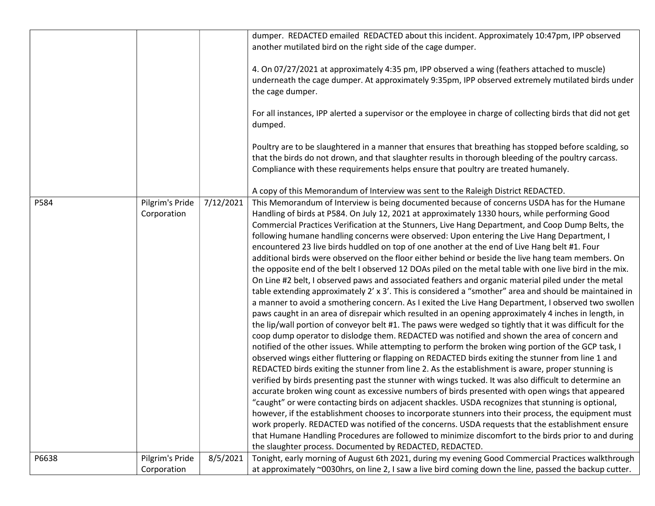|       |                                |           | dumper. REDACTED emailed REDACTED about this incident. Approximately 10:47pm, IPP observed<br>another mutilated bird on the right side of the cage dumper.<br>4. On 07/27/2021 at approximately 4:35 pm, IPP observed a wing (feathers attached to muscle)<br>underneath the cage dumper. At approximately 9:35pm, IPP observed extremely mutilated birds under<br>the cage dumper.<br>For all instances, IPP alerted a supervisor or the employee in charge of collecting birds that did not get<br>dumped.<br>Poultry are to be slaughtered in a manner that ensures that breathing has stopped before scalding, so<br>that the birds do not drown, and that slaughter results in thorough bleeding of the poultry carcass.                                                                                                                                                                                                                                                                                                                                                                                                                                                                                                                                                                                                                                                                                                                                                                                                                                                                                                                                                                                                                                                                                                                                                                                                                                                                                                                                                                                                                                                                                                                                                                                                                                                             |
|-------|--------------------------------|-----------|-------------------------------------------------------------------------------------------------------------------------------------------------------------------------------------------------------------------------------------------------------------------------------------------------------------------------------------------------------------------------------------------------------------------------------------------------------------------------------------------------------------------------------------------------------------------------------------------------------------------------------------------------------------------------------------------------------------------------------------------------------------------------------------------------------------------------------------------------------------------------------------------------------------------------------------------------------------------------------------------------------------------------------------------------------------------------------------------------------------------------------------------------------------------------------------------------------------------------------------------------------------------------------------------------------------------------------------------------------------------------------------------------------------------------------------------------------------------------------------------------------------------------------------------------------------------------------------------------------------------------------------------------------------------------------------------------------------------------------------------------------------------------------------------------------------------------------------------------------------------------------------------------------------------------------------------------------------------------------------------------------------------------------------------------------------------------------------------------------------------------------------------------------------------------------------------------------------------------------------------------------------------------------------------------------------------------------------------------------------------------------------------|
|       |                                |           | Compliance with these requirements helps ensure that poultry are treated humanely.                                                                                                                                                                                                                                                                                                                                                                                                                                                                                                                                                                                                                                                                                                                                                                                                                                                                                                                                                                                                                                                                                                                                                                                                                                                                                                                                                                                                                                                                                                                                                                                                                                                                                                                                                                                                                                                                                                                                                                                                                                                                                                                                                                                                                                                                                                        |
|       |                                |           | A copy of this Memorandum of Interview was sent to the Raleigh District REDACTED.                                                                                                                                                                                                                                                                                                                                                                                                                                                                                                                                                                                                                                                                                                                                                                                                                                                                                                                                                                                                                                                                                                                                                                                                                                                                                                                                                                                                                                                                                                                                                                                                                                                                                                                                                                                                                                                                                                                                                                                                                                                                                                                                                                                                                                                                                                         |
| P584  | Pilgrim's Pride<br>Corporation | 7/12/2021 | This Memorandum of Interview is being documented because of concerns USDA has for the Humane<br>Handling of birds at P584. On July 12, 2021 at approximately 1330 hours, while performing Good<br>Commercial Practices Verification at the Stunners, Live Hang Department, and Coop Dump Belts, the<br>following humane handling concerns were observed: Upon entering the Live Hang Department, I<br>encountered 23 live birds huddled on top of one another at the end of Live Hang belt #1. Four<br>additional birds were observed on the floor either behind or beside the live hang team members. On<br>the opposite end of the belt I observed 12 DOAs piled on the metal table with one live bird in the mix.<br>On Line #2 belt, I observed paws and associated feathers and organic material piled under the metal<br>table extending approximately 2' x 3'. This is considered a "smother" area and should be maintained in<br>a manner to avoid a smothering concern. As I exited the Live Hang Department, I observed two swollen<br>paws caught in an area of disrepair which resulted in an opening approximately 4 inches in length, in<br>the lip/wall portion of conveyor belt #1. The paws were wedged so tightly that it was difficult for the<br>coop dump operator to dislodge them. REDACTED was notified and shown the area of concern and<br>notified of the other issues. While attempting to perform the broken wing portion of the GCP task, I<br>observed wings either fluttering or flapping on REDACTED birds exiting the stunner from line 1 and<br>REDACTED birds exiting the stunner from line 2. As the establishment is aware, proper stunning is<br>verified by birds presenting past the stunner with wings tucked. It was also difficult to determine an<br>accurate broken wing count as excessive numbers of birds presented with open wings that appeared<br>"caught" or were contacting birds on adjacent shackles. USDA recognizes that stunning is optional,<br>however, if the establishment chooses to incorporate stunners into their process, the equipment must<br>work properly. REDACTED was notified of the concerns. USDA requests that the establishment ensure<br>that Humane Handling Procedures are followed to minimize discomfort to the birds prior to and during<br>the slaughter process. Documented by REDACTED, REDACTED. |
| P6638 | Pilgrim's Pride                | 8/5/2021  | Tonight, early morning of August 6th 2021, during my evening Good Commercial Practices walkthrough                                                                                                                                                                                                                                                                                                                                                                                                                                                                                                                                                                                                                                                                                                                                                                                                                                                                                                                                                                                                                                                                                                                                                                                                                                                                                                                                                                                                                                                                                                                                                                                                                                                                                                                                                                                                                                                                                                                                                                                                                                                                                                                                                                                                                                                                                        |
|       | Corporation                    |           | at approximately ~0030hrs, on line 2, I saw a live bird coming down the line, passed the backup cutter.                                                                                                                                                                                                                                                                                                                                                                                                                                                                                                                                                                                                                                                                                                                                                                                                                                                                                                                                                                                                                                                                                                                                                                                                                                                                                                                                                                                                                                                                                                                                                                                                                                                                                                                                                                                                                                                                                                                                                                                                                                                                                                                                                                                                                                                                                   |